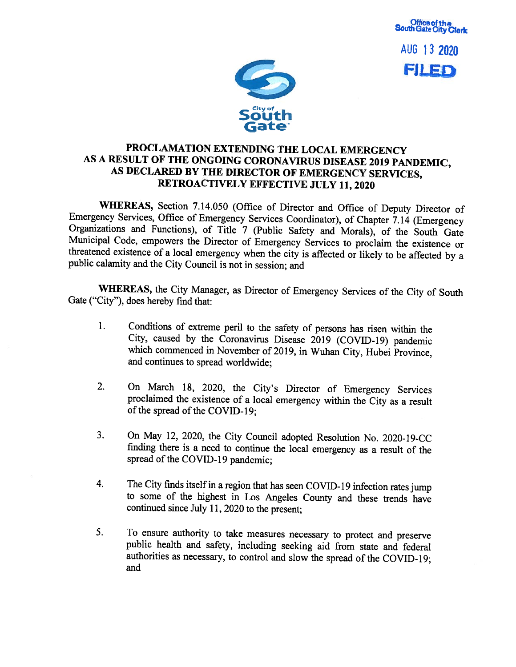



## PROCLAMATION EXTENDING THE LOCAL EMERGENCY AS <sup>A</sup> RESULT OF THE ONGOING CORONAVIRUS DISEASE <sup>2019</sup> PANDEMIC, AS DECLARED BY THE DIRECTOR OF EMERGENCY SERVICES, RETROACTIVELY EFFECTIVE JULY 11, 2020

WHEREAS, Section 7.14.050 (Office of Director and Office of Deputy Director of Emergency Services, Office of Emergency Services Coordinator), of Chapter 7.14 (Emergency Organizations and Functions), of Title <sup>7</sup> (Public Safety and Morals), of the South Gate Municipal Code, empowers the Director of Emergency Services to proclaim the existence or threatened existence of <sup>a</sup> local emergency when the city is affected or likely to be affected by <sup>a</sup> public calamity and the City Council is not in session; and

WHEREAS, the City Manager, as Director of Emergency Services of the City of South Gate ("City"), does hereby find that:

- 1. Conditions of extreme peril to the safety of persons has risen within the City, caused by the Coronavirus Disease <sup>2019</sup> (COVID-19) pandemic which commenced in November of 2019, in Wuhan City, Hubei Province, and continues to spread worldwide;
- 2. On March 18, 2020, the City's Director of Emergency Services proclaimed the existence of <sup>a</sup> local emergency within the City as <sup>a</sup> result of the spread of the COVID-19;
- 3. On May 12, 2020, the City Council adopted Resolution No. 2020-19-CC finding there is <sup>a</sup> need to continue the local emergency as <sup>a</sup> result of the spread of the COVID-19 pandemic:
- 4. The City finds itself in a region that has seen COVID-19 infection rates jump to some of the highest in Los Angeles County and these trends have continued since July 11, <sup>2020</sup> to the present;
- 5. To ensure authority to take measures necessary to protect and preserve public health and safety, including seeking aid from state and federal authorities as necessary, to control and slow the spread of the COVID-19; and